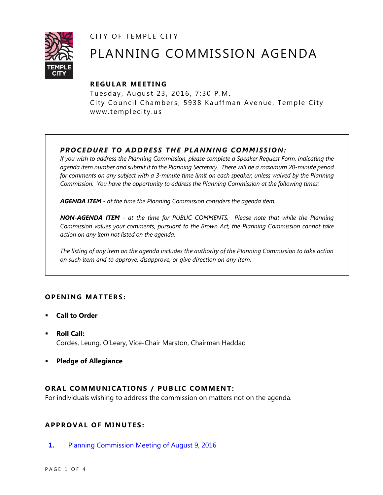CITY OF TEMPLE CITY



# PLANNING COMMISSION AGENDA

# **R EGULA R MEE TING**

Tuesday, August 23, 2016, 7:30 P.M. City Council Chambers, 5938 Kauffman Avenue, Temple City www.templecity.us

# *PRO CE DURE TO ADDRE SS THE P LA NNI NG COMM I SSION:*

*If you wish to address the Planning Commission, please complete a Speaker Request Form, indicating the agenda item number and submit it to the Planning Secretary. There will be a maximum 20-minute period*  for comments on any subject with a 3-minute time limit on each speaker, unless waived by the Planning *Commission. You have the opportunity to address the Planning Commission at the following times:*

*AGENDA ITEM - at the time the Planning Commission considers the agenda item.*

*NON-AGENDA ITEM - at the time for PUBLIC COMMENTS. Please note that while the Planning Commission values your comments, pursuant to the Brown Act, the Planning Commission cannot take action on any item not listed on the agenda.*

*The listing of any item on the agenda includes the authority of the Planning Commission to take action on such item and to approve, disapprove, or give direction on any item.*

# **OPEN ING MAT TERS :**

- **Call to Order**
- **Roll Call:** Cordes, Leung, O'Leary, Vice-Chair Marston, Chairman Haddad
- **Pledge of Allegiance**

# **ORAL COMMUNICATIONS / PUBLIC COMMENT:**

For individuals wishing to address the commission on matters not on the agenda.

# **APPRO VAL OF MINUTES :**

**1.** [Planning Commission Meeting of August 9, 2016](http://ca-templecity.civicplus.com/DocumentCenter/View/6433)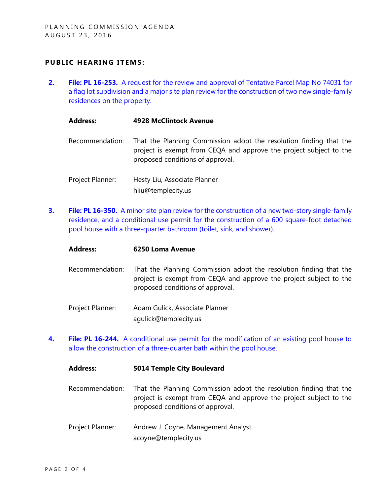## **PUBLIC HEARING ITEMS:**

**2. File: PL 16-253.** [A request for the review and approval of Tentative Parcel Map No 74031 for](http://ca-templecity.civicplus.com/DocumentCenter/View/6435)  [a flag lot subdivision and a major site plan review for the construction of two new single-family](http://ca-templecity.civicplus.com/DocumentCenter/View/6435)  [residences on the property.](http://ca-templecity.civicplus.com/DocumentCenter/View/6435)

#### **Address: 4928 McClintock Avenue**

- Recommendation: That the Planning Commission adopt the resolution finding that the project is exempt from CEQA and approve the project subject to the proposed conditions of approval.
- Project Planner: Hesty Liu, Associate Planner hliu@templecity.us
- **3. File: PL 16-350.** [A minor site plan review for the construction of a new two-story single-family](http://ca-templecity.civicplus.com/DocumentCenter/View/6436)  [residence, and a conditional use permit for the construction of a 600 square-foot detached](http://ca-templecity.civicplus.com/DocumentCenter/View/6436)  [pool house with a three-quarter bathroom \(toilet, sink, and shower\).](http://ca-templecity.civicplus.com/DocumentCenter/View/6436)

#### **Address: 6250 Loma Avenue**

- Recommendation: That the Planning Commission adopt the resolution finding that the project is exempt from CEQA and approve the project subject to the proposed conditions of approval.
- Project Planner: Adam Gulick, Associate Planner agulick@templecity.us
- **4. File: PL 16-244.** A [conditional use permit for the modification of an existing pool house to](http://ca-templecity.civicplus.com/DocumentCenter/View/6434)  [allow the construction of a three-quarter bath within the pool house.](http://ca-templecity.civicplus.com/DocumentCenter/View/6434)

# **Address: 5014 Temple City Boulevard**

- Recommendation: That the Planning Commission adopt the resolution finding that the project is exempt from CEQA and approve the project subject to the proposed conditions of approval.
- Project Planner: Andrew J. Coyne, Management Analyst acoyne@templecity.us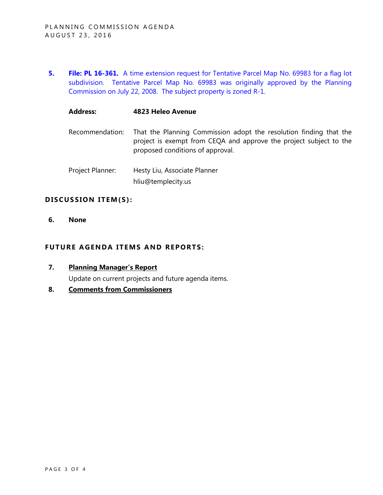**5. File: PL 16-361.** [A time extension request for Tentative Parcel Map No. 69983 for a flag lot](http://ca-templecity.civicplus.com/DocumentCenter/View/6437)  [subdivision. Tentative Parcel Map No. 69983 was originally approved by the Planning](http://ca-templecity.civicplus.com/DocumentCenter/View/6437)  [Commission on July 22, 2008. The subject property is zoned R-1.](http://ca-templecity.civicplus.com/DocumentCenter/View/6437)

#### **Address: 4823 Heleo Avenue**

- Recommendation: That the Planning Commission adopt the resolution finding that the project is exempt from CEQA and approve the project subject to the proposed conditions of approval.
- Project Planner: Hesty Liu, Associate Planner hliu@templecity.us

#### DISCUSSION ITEM(S):

**6. None**

# **FUTURE AGENDA ITEMS AND REPORTS:**

- **7. Planning Manager's Report** Update on current projects and future agenda items.
- **8. Comments from Commissioners**